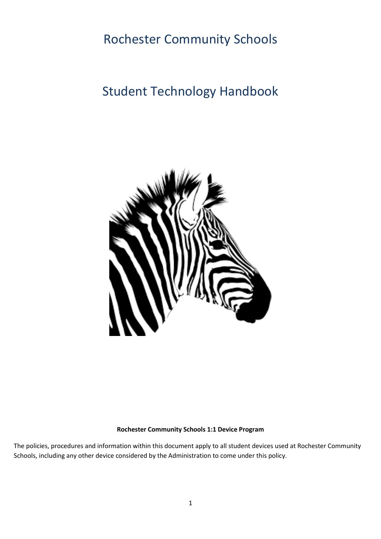# Rochester Community Schools

# Student Technology Handbook



#### **Rochester Community Schools 1:1 Device Program**

The policies, procedures and information within this document apply to all student devices used at Rochester Community Schools, including any other device considered by the Administration to come under this policy.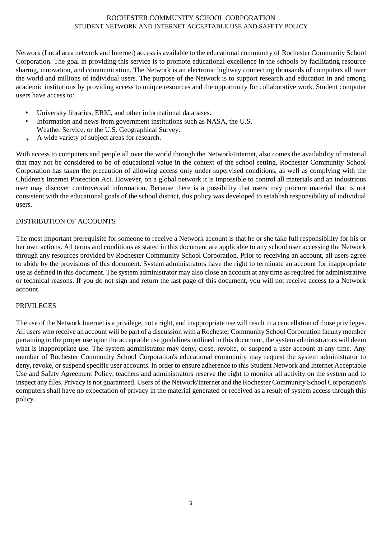#### ROCHESTER COMMUNITY SCHOOL CORPORATION STUDENT NETWORK AND INTERNET ACCEPTABLE USE AND SAFETY POLICY

Network (Local area network and Internet) access is available to the educational community of Rochester Community School Corporation. The goal in providing this service is to promote educational excellence in the schools by facilitating resource sharing, innovation, and communication. The Network is an electronic highway connecting thousands of computers all over the world and millions of individual users. The purpose of the Network is to support research and education in and among academic institutions by providing access to unique resources and the opportunity for collaborative work. Student computer users have access to:

- University libraries, ERIC, and other informational databases.
- Information and news from government institutions such as NASA, the U.S. Weather Service, or the U.S. Geographical Survey.
- A wide variety of subject areas for research.

With access to computers and people all over the world through the Network/Internet, also comes the availability of material that may not be considered to be of educational value in the context of the school setting. Rochester Community School Corporation has taken the precaution of allowing access only under supervised conditions, as well as complying with the Children's Internet Protection Act. However, on a global network it is impossible to control all materials and an industrious user may discover controversial information. Because there is a possibility that users may procure material that is not consistent with the educational goals of the school district, this policy was developed to establish responsibility of individual users.

#### DISTRIBUTION OF ACCOUNTS

The most important prerequisite for someone to receive a Network account is that he or she take full responsibility for his or her own actions. All terms and conditions as stated in this document are applicable to any school user accessing the Network through any resources provided by Rochester Community School Corporation. Prior to receiving an account, all users agree to abide by the provisions of this document. System administrators have the right to terminate an account for inappropriate use as defined in this document. The system administrator may also close an account at any time as required for administrative or technical reasons. If you do not sign and return the last page of this document, you will not receive access to a Network account.

#### PRIVILEGES

The use of the Network Internet is a privilege, not a right, and inappropriate use will result in a cancellation of those privileges. All users who receive an account will be part of a discussion with a Rochester Community School Corporation faculty member pertaining to the proper use upon the acceptable use guidelines outlined in this document, the system administrators will deem what is inappropriate use. The system administrator may deny, close, revoke, or suspend a user account at any time. Any member of Rochester Community School Corporation's educational community may request the system administrator to deny, revoke, or suspend specific user accounts. In order to ensure adherence to this Student Network and Internet Acceptable Use and Safety Agreement Policy, teachers and administrators reserve the right to monitor all activity on the system and to inspect any files. Privacy is not guaranteed. Users of the Network/Internet and the Rochester Community School Corporation's computers shall have no expectation of privacy in the material generated or received as a result of system access through this policy.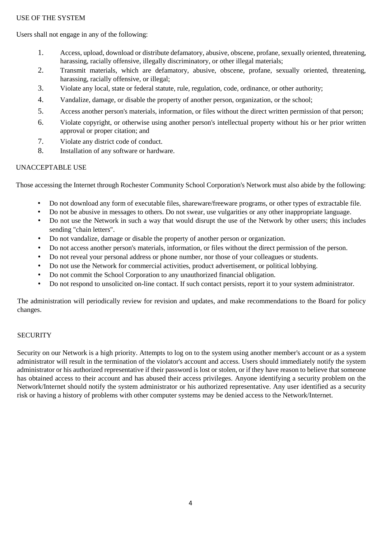#### USE OF THE SYSTEM

Users shall not engage in any of the following:

- 1. Access, upload, download or distribute defamatory, abusive, obscene, profane, sexually oriented, threatening, harassing, racially offensive, illegally discriminatory, or other illegal materials;
- 2. Transmit materials, which are defamatory, abusive, obscene, profane, sexually oriented, threatening, harassing, racially offensive, or illegal;
- 3. Violate any local, state or federal statute, rule, regulation, code, ordinance, or other authority;
- 4. Vandalize, damage, or disable the property of another person, organization, or the school;
- 5. Access another person's materials, information, or files without the direct written permission of that person;
- 6. Violate copyright, or otherwise using another person's intellectual property without his or her prior written approval or proper citation; and
- 7. Violate any district code of conduct.
- 8. Installation of any software or hardware.

#### UNACCEPTABLE USE

Those accessing the Internet through Rochester Community School Corporation's Network must also abide by the following:

- Do not download any form of executable files, shareware/freeware programs, or other types of extractable file.
- Do not be abusive in messages to others. Do not swear, use vulgarities or any other inappropriate language.
- Do not use the Network in such a way that would disrupt the use of the Network by other users; this includes sending "chain letters".
- Do not vandalize, damage or disable the property of another person or organization.
- Do not access another person's materials, information, or files without the direct permission of the person.
- Do not reveal your personal address or phone number, nor those of your colleagues or students.
- Do not use the Network for commercial activities, product advertisement, or political lobbying.
- Do not commit the School Corporation to any unauthorized financial obligation.
- Do not respond to unsolicited on-line contact. If such contact persists, report it to your system administrator.

The administration will periodically review for revision and updates, and make recommendations to the Board for policy changes.

#### **SECURITY**

Security on our Network is a high priority. Attempts to log on to the system using another member's account or as a system administrator will result in the termination of the violator's account and access. Users should immediately notify the system administrator or his authorized representative if their password is lost or stolen, or if they have reason to believe that someone has obtained access to their account and has abused their access privileges. Anyone identifying a security problem on the Network/Internet should notify the system administrator or his authorized representative. Any user identified as a security risk or having a history of problems with other computer systems may be denied access to the Network/Internet.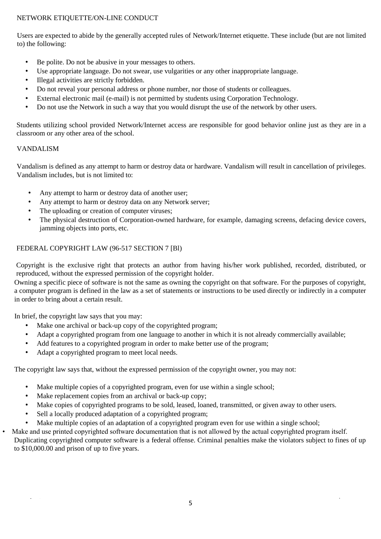#### NETWORK ETIQUETTE/ON-LINE CONDUCT

Users are expected to abide by the generally accepted rules of Network/Internet etiquette. These include (but are not limited to) the following:

- Be polite. Do not be abusive in your messages to others.
- Use appropriate language. Do not swear, use vulgarities or any other inappropriate language.
- Illegal activities are strictly forbidden.
- Do not reveal your personal address or phone number, nor those of students or colleagues.
- External electronic mail (e-mail) is not permitted by students using Corporation Technology.
- Do not use the Network in such a way that you would disrupt the use of the network by other users.

Students utilizing school provided Network/Internet access are responsible for good behavior online just as they are in a classroom or any other area of the school.

#### VANDALISM

 $\hat{\mathcal{A}}$ J.

Vandalism is defined as any attempt to harm or destroy data or hardware. Vandalism will result in cancellation of privileges. Vandalism includes, but is not limited to:

- Any attempt to harm or destroy data of another user;
- Any attempt to harm or destroy data on any Network server;
- The uploading or creation of computer viruses;
- The physical destruction of Corporation-owned hardware, for example, damaging screens, defacing device covers, jamming objects into ports, etc.

#### FEDERAL COPYRIGHT LAW (96-517 SECTION 7 [Bl)

Copyright is the exclusive right that protects an author from having his/her work published, recorded, distributed, or reproduced, without the expressed permission of the copyright holder.

Owning a specific piece of software is not the same as owning the copyright on that software. For the purposes of copyright, a computer program is defined in the law as a set of statements or instructions to be used directly or indirectly in a computer in order to bring about a certain result.

In brief, the copyright law says that you may:

- Make one archival or back-up copy of the copyrighted program;
- Adapt a copyrighted program from one language to another in which it is not already commercially available;
- Add features to a copyrighted program in order to make better use of the program;
- Adapt a copyrighted program to meet local needs.

The copyright law says that, without the expressed permission of the copyright owner, you may not:

- Make multiple copies of a copyrighted program, even for use within a single school;
- Make replacement copies from an archival or back-up copy;
- Make copies of copyrighted programs to be sold, leased, loaned, transmitted, or given away to other users.
- Sell a locally produced adaptation of a copyrighted program;
- Make multiple copies of an adaptation of a copyrighted program even for use within a single school;
- Make and use printed copyrighted software documentation that is not allowed by the actual copyrighted program itself. Duplicating copyrighted computer software is a federal offense. Criminal penalties make the violators subject to fines of up to \$10,000.00 and prison of up to five years.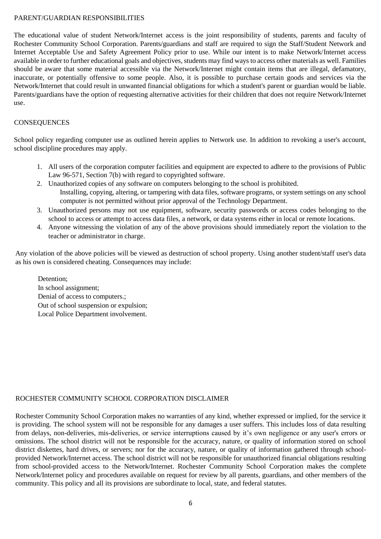#### PARENT/GUARDIAN RESPONSIBILITIES

The educational value of student Network/Internet access is the joint responsibility of students, parents and faculty of Rochester Community School Corporation. Parents/guardians and staff are required to sign the Staff/Student Network and Internet Acceptable Use and Safety Agreement Policy prior to use. While our intent is to make Network/Internet access available in order to further educational goals and objectives, students may find ways to access other materials as well. Families should be aware that some material accessible via the Network/Internet might contain items that are illegal, defamatory, inaccurate, or potentially offensive to some people. Also, it is possible to purchase certain goods and services via the Network/Internet that could result in unwanted financial obligations for which a student's parent or guardian would be liable. Parents/guardians have the option of requesting alternative activities for their children that does not require Network/Internet use.

#### **CONSEQUENCES**

School policy regarding computer use as outlined herein applies to Network use. In addition to revoking a user's account, school discipline procedures may apply.

- 1. All users of the corporation computer facilities and equipment are expected to adhere to the provisions of Public Law 96-571, Section 7(b) with regard to copyrighted software.
- 2. Unauthorized copies of any software on computers belonging to the school is prohibited. Installing, copying, altering, or tampering with data files, software programs, or system settings on any school computer is not permitted without prior approval of the Technology Department.
- 3. Unauthorized persons may not use equipment, software, security passwords or access codes belonging to the school to access or attempt to access data files, a network, or data systems either in local or remote locations.
- 4. Anyone witnessing the violation of any of the above provisions should immediately report the violation to the teacher or administrator in charge.

Any violation of the above policies will be viewed as destruction of school property. Using another student/staff user's data as his own is considered cheating. Consequences may include:

Detention<sup>.</sup> In school assignment; Denial of access to computers.; Out of school suspension or expulsion; Local Police Department involvement.

#### ROCHESTER COMMUNITY SCHOOL CORPORATION DISCLAIMER

Rochester Community School Corporation makes no warranties of any kind, whether expressed or implied, for the service it is providing. The school system will not be responsible for any damages a user suffers. This includes loss of data resulting from delays, non-deliveries, mis-deliveries, or service interruptions caused by it's own negligence or any user's errors or omissions. The school district will not be responsible for the accuracy, nature, or quality of information stored on school district diskettes, hard drives, or servers; nor for the accuracy, nature, or quality of information gathered through schoolprovided Network/Internet access. The school district will not be responsible for unauthorized financial obligations resulting from school-provided access to the Network/Internet. Rochester Community School Corporation makes the complete Network/Internet policy and procedures available on request for review by all parents, guardians, and other members of the community. This policy and all its provisions are subordinate to local, state, and federal statutes.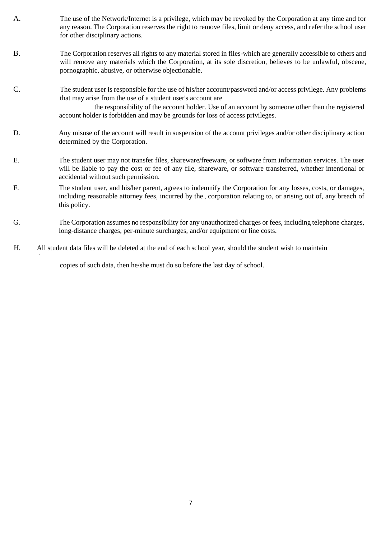- A. The use of the Network/Internet is a privilege, which may be revoked by the Corporation at any time and for any reason. The Corporation reserves the right to remove files, limit or deny access, and refer the school user for other disciplinary actions.
- B. The Corporation reserves all rights to any material stored in files-which are generally accessible to others and will remove any materials which the Corporation, at its sole discretion, believes to be unlawful, obscene, pornographic, abusive, or otherwise objectionable.
- C. The student user is responsible for the use of his/her account/password and/or access privilege. Any problems that may arise from the use of a student user's account are

 the responsibility of the account holder. Use of an account by someone other than the registered account holder is forbidden and may be grounds for loss of access privileges.

- D. Any misuse of the account will result in suspension of the account privileges and/or other disciplinary action determined by the Corporation.
- E. The student user may not transfer files, shareware/freeware, or software from information services. The user will be liable to pay the cost or fee of any file, shareware, or software transferred, whether intentional or accidental without such permission.
- F. The student user, and his/her parent, agrees to indemnify the Corporation for any losses, costs, or damages, including reasonable attorney fees, incurred by the corporation relating to, or arising out of, any breach of this policy.
- G. The Corporation assumes no responsibility for any unauthorized charges or fees, including telephone charges, long-distance charges, per-minute surcharges, and/or equipment or line costs.
- H. All student data files will be deleted at the end of each school year, should the student wish to maintain

copies of such data, then he/she must do so before the last day of school.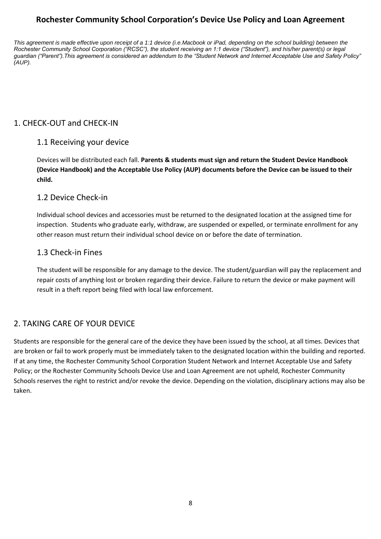# **Rochester Community School Corporation's Device Use Policy and Loan Agreement**

*This agreement is made effective upon receipt of a 1:1 device (i.e.Macbook or iPad, depending on the school building) between the Rochester Community School Corporation ("RCSC"), the student receiving an 1:1 device ("Student"), and his/her parent(s) or legal guardian ("Parent").This agreement is considered an addendum to the "Student Network and Internet Acceptable Use and Safety Policy" (AUP).*

# 1. CHECK-OUT and CHECK-IN

## 1.1 Receiving your device

Devices will be distributed each fall. **Parents & students must sign and return the Student Device Handbook (Device Handbook) and the Acceptable Use Policy (AUP) documents before the Device can be issued to their child.**

## 1.2 Device Check-in

Individual school devices and accessories must be returned to the designated location at the assigned time for inspection. Students who graduate early, withdraw, are suspended or expelled, or terminate enrollment for any other reason must return their individual school device on or before the date of termination.

#### 1.3 Check-in Fines

The student will be responsible for any damage to the device. The student/guardian will pay the replacement and repair costs of anything lost or broken regarding their device. Failure to return the device or make payment will result in a theft report being filed with local law enforcement.

## 2. TAKING CARE OF YOUR DEVICE

Students are responsible for the general care of the device they have been issued by the school, at all times. Devices that are broken or fail to work properly must be immediately taken to the designated location within the building and reported. If at any time, the Rochester Community School Corporation Student Network and Internet Acceptable Use and Safety Policy; or the Rochester Community Schools Device Use and Loan Agreement are not upheld, Rochester Community Schools reserves the right to restrict and/or revoke the device. Depending on the violation, disciplinary actions may also be taken.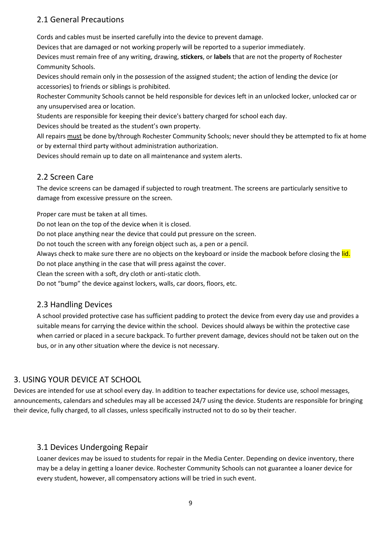## 2.1 General Precautions

Cords and cables must be inserted carefully into the device to prevent damage.

Devices that are damaged or not working properly will be reported to a superior immediately.

Devices must remain free of any writing, drawing, **stickers**, or **labels** that are not the property of Rochester Community Schools.

Devices should remain only in the possession of the assigned student; the action of lending the device (or accessories) to friends or siblings is prohibited.

Rochester Community Schools cannot be held responsible for devices left in an unlocked locker, unlocked car or any unsupervised area or location.

Students are responsible for keeping their device's battery charged for school each day.

Devices should be treated as the student's own property.

All repairs must be done by/through Rochester Community Schools; never should they be attempted to fix at home or by external third party without administration authorization.

Devices should remain up to date on all maintenance and system alerts.

## 2.2 Screen Care

The device screens can be damaged if subjected to rough treatment. The screens are particularly sensitive to damage from excessive pressure on the screen.

Proper care must be taken at all times.

Do not lean on the top of the device when it is closed.

Do not place anything near the device that could put pressure on the screen.

Do not touch the screen with any foreign object such as, a pen or a pencil.

Always check to make sure there are no objects on the keyboard or inside the macbook before closing the lid.

Do not place anything in the case that will press against the cover.

Clean the screen with a soft, dry cloth or anti-static cloth.

Do not "bump" the device against lockers, walls, car doors, floors, etc.

## 2.3 Handling Devices

A school provided protective case has sufficient padding to protect the device from every day use and provides a suitable means for carrying the device within the school. Devices should always be within the protective case when carried or placed in a secure backpack. To further prevent damage, devices should not be taken out on the bus, or in any other situation where the device is not necessary.

## 3. USING YOUR DEVICE AT SCHOOL

Devices are intended for use at school every day. In addition to teacher expectations for device use, school messages, announcements, calendars and schedules may all be accessed 24/7 using the device. Students are responsible for bringing their device, fully charged, to all classes, unless specifically instructed not to do so by their teacher.

## 3.1 Devices Undergoing Repair

Loaner devices may be issued to students for repair in the Media Center. Depending on device inventory, there may be a delay in getting a loaner device. Rochester Community Schools can not guarantee a loaner device for every student, however, all compensatory actions will be tried in such event.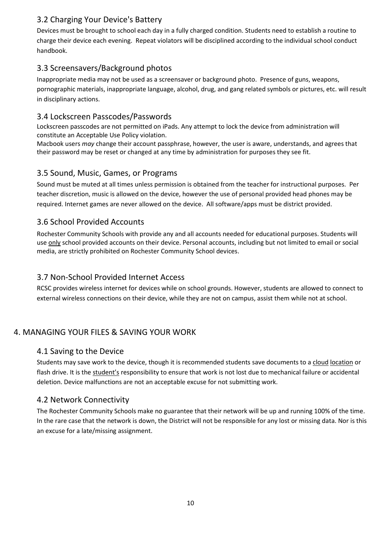## 3.2 Charging Your Device's Battery

Devices must be brought to school each day in a fully charged condition. Students need to establish a routine to charge their device each evening. Repeat violators will be disciplined according to the individual school conduct handbook.

## 3.3 Screensavers/Background photos

Inappropriate media may not be used as a screensaver or background photo. Presence of guns, weapons, pornographic materials, inappropriate language, alcohol, drug, and gang related symbols or pictures, etc. will result in disciplinary actions.

## 3.4 Lockscreen Passcodes/Passwords

Lockscreen passcodes are not permitted on iPads. Any attempt to lock the device from administration will constitute an Acceptable Use Policy violation.

Macbook users *may* change their account passphrase, however, the user is aware, understands, and agrees that their password may be reset or changed at any time by administration for purposes they see fit.

## 3.5 Sound, Music, Games, or Programs

Sound must be muted at all times unless permission is obtained from the teacher for instructional purposes. Per teacher discretion, music is allowed on the device, however the use of personal provided head phones may be required. Internet games are never allowed on the device. All software/apps must be district provided.

## 3.6 School Provided Accounts

Rochester Community Schools with provide any and all accounts needed for educational purposes. Students will use only school provided accounts on their device. Personal accounts, including but not limited to email or social media, are strictly prohibited on Rochester Community School devices.

## 3.7 Non-School Provided Internet Access

RCSC provides wireless internet for devices while on school grounds. However, students are allowed to connect to external wireless connections on their device, while they are not on campus, assist them while not at school.

# 4. MANAGING YOUR FILES & SAVING YOUR WORK

## 4.1 Saving to the Device

Students may save work to the device, though it is recommended students save documents to a cloud location or flash drive. It is the student's responsibility to ensure that work is not lost due to mechanical failure or accidental deletion. Device malfunctions are not an acceptable excuse for not submitting work.

## 4.2 Network Connectivity

The Rochester Community Schools make no guarantee that their network will be up and running 100% of the time. In the rare case that the network is down, the District will not be responsible for any lost or missing data. Nor is this an excuse for a late/missing assignment.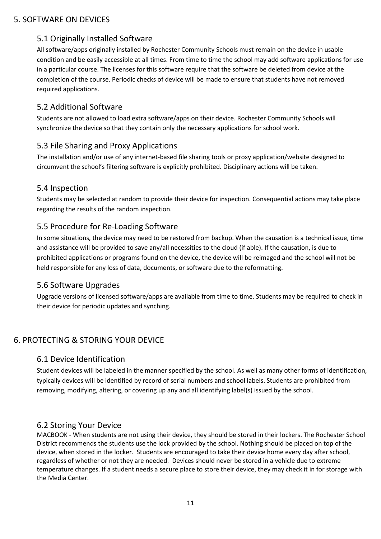#### 5. SOFTWARE ON DEVICES

## 5.1 Originally Installed Software

All software/apps originally installed by Rochester Community Schools must remain on the device in usable condition and be easily accessible at all times. From time to time the school may add software applications for use in a particular course. The licenses for this software require that the software be deleted from device at the completion of the course. Periodic checks of device will be made to ensure that students have not removed required applications.

#### 5.2 Additional Software

Students are not allowed to load extra software/apps on their device. Rochester Community Schools will synchronize the device so that they contain only the necessary applications for school work.

#### 5.3 File Sharing and Proxy Applications

The installation and/or use of any internet-based file sharing tools or proxy application/website designed to circumvent the school's filtering software is explicitly prohibited. Disciplinary actions will be taken.

#### 5.4 Inspection

Students may be selected at random to provide their device for inspection. Consequential actions may take place regarding the results of the random inspection.

#### 5.5 Procedure for Re-Loading Software

In some situations, the device may need to be restored from backup. When the causation is a technical issue, time and assistance will be provided to save any/all necessities to the cloud (if able). If the causation, is due to prohibited applications or programs found on the device, the device will be reimaged and the school will not be held responsible for any loss of data, documents, or software due to the reformatting.

#### 5.6 Software Upgrades

Upgrade versions of licensed software/apps are available from time to time. Students may be required to check in their device for periodic updates and synching.

## 6. PROTECTING & STORING YOUR DEVICE

#### 6.1 Device Identification

Student devices will be labeled in the manner specified by the school. As well as many other forms of identification, typically devices will be identified by record of serial numbers and school labels. Students are prohibited from removing, modifying, altering, or covering up any and all identifying label(s) issued by the school.

#### 6.2 Storing Your Device

MACBOOK - When students are not using their device, they should be stored in their lockers. The Rochester School District recommends the students use the lock provided by the school. Nothing should be placed on top of the device, when stored in the locker. Students are encouraged to take their device home every day after school, regardless of whether or not they are needed. Devices should never be stored in a vehicle due to extreme temperature changes. If a student needs a secure place to store their device, they may check it in for storage with the Media Center.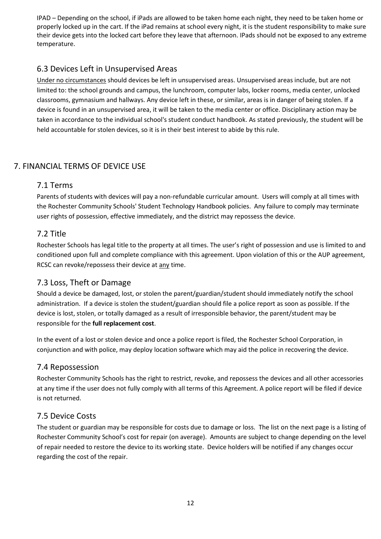IPAD – Depending on the school, if iPads are allowed to be taken home each night, they need to be taken home or properly locked up in the cart. If the iPad remains at school every night, it is the student responsibility to make sure their device gets into the locked cart before they leave that afternoon. IPads should not be exposed to any extreme temperature.

# 6.3 Devices Left in Unsupervised Areas

Under no circumstances should devices be left in unsupervised areas. Unsupervised areas include, but are not limited to: the school grounds and campus, the lunchroom, computer labs, locker rooms, media center, unlocked classrooms, gymnasium and hallways. Any device left in these, or similar, areas is in danger of being stolen. If a device is found in an unsupervised area, it will be taken to the media center or office. Disciplinary action may be taken in accordance to the individual school's student conduct handbook. As stated previously, the student will be held accountable for stolen devices, so it is in their best interest to abide by this rule.

# 7. FINANCIAL TERMS OF DEVICE USE

## 7.1 Terms

Parents of students with devices will pay a non-refundable curricular amount. Users will comply at all times with the Rochester Community Schools' Student Technology Handbook policies. Any failure to comply may terminate user rights of possession, effective immediately, and the district may repossess the device.

## 7.2 Title

Rochester Schools has legal title to the property at all times. The user's right of possession and use is limited to and conditioned upon full and complete compliance with this agreement. Upon violation of this or the AUP agreement, RCSC can revoke/repossess their device at any time.

## 7.3 Loss, Theft or Damage

Should a device be damaged, lost, or stolen the parent/guardian/student should immediately notify the school administration. If a device is stolen the student/guardian should file a police report as soon as possible. If the device is lost, stolen, or totally damaged as a result of irresponsible behavior, the parent/student may be responsible for the **full replacement cost**.

In the event of a lost or stolen device and once a police report is filed, the Rochester School Corporation, in conjunction and with police, may deploy location software which may aid the police in recovering the device.

## 7.4 Repossession

Rochester Community Schools has the right to restrict, revoke, and repossess the devices and all other accessories at any time if the user does not fully comply with all terms of this Agreement. A police report will be filed if device is not returned.

## 7.5 Device Costs

The student or guardian may be responsible for costs due to damage or loss. The list on the next page is a listing of Rochester Community School's cost for repair (on average). Amounts are subject to change depending on the level of repair needed to restore the device to its working state. Device holders will be notified if any changes occur regarding the cost of the repair.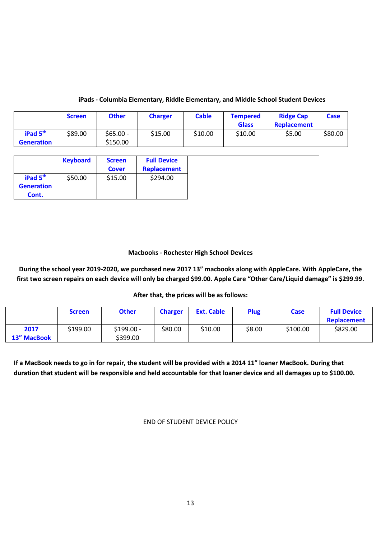#### **iPads - Columbia Elementary, Riddle Elementary, and Middle School Student Devices**

|                                           | <b>Screen</b> | <b>Other</b>          | <b>Charger</b> | <b>Cable</b> | <b>Tempered</b><br><b>Glass</b> | <b>Ridge Cap</b><br><b>Replacement</b> | Case    |
|-------------------------------------------|---------------|-----------------------|----------------|--------------|---------------------------------|----------------------------------------|---------|
| iPad 5 <sup>th</sup><br><b>Generation</b> | \$89.00       | \$65.00 -<br>\$150.00 | \$15.00        | \$10.00      | \$10.00                         | \$5.00                                 | \$80.00 |

|                                           | <b>Keyboard</b> | <b>Screen</b><br><b>Cover</b> | <b>Full Device</b><br><b>Replacement</b> |
|-------------------------------------------|-----------------|-------------------------------|------------------------------------------|
| iPad 5 <sup>th</sup><br><b>Generation</b> | \$50.00         | \$15.00                       | \$294.00                                 |
| Cont.                                     |                 |                               |                                          |

#### **Macbooks - Rochester High School Devices**

**During the school year 2019-2020, we purchased new 2017 13" macbooks along with AppleCare. With AppleCare, the first two screen repairs on each device will only be charged \$99.00. Apple Care "Other Care/Liquid damage" is \$299.99.** 

#### **After that, the prices will be as follows:**

|                     | <b>Screen</b> | <b>Other</b>            | <b>Charger</b> | <b>Ext. Cable</b> | <b>Plug</b> | Case     | <b>Full Device</b><br><b>Replacement</b> |
|---------------------|---------------|-------------------------|----------------|-------------------|-------------|----------|------------------------------------------|
| 2017<br>13" MacBook | \$199.00      | $$199.00 -$<br>\$399.00 | \$80.00        | \$10.00           | \$8.00      | \$100.00 | \$829.00                                 |

**If a MacBook needs to go in for repair, the student will be provided with a 2014 11" loaner MacBook. During that duration that student will be responsible and held accountable for that loaner device and all damages up to \$100.00.**

END OF STUDENT DEVICE POLICY